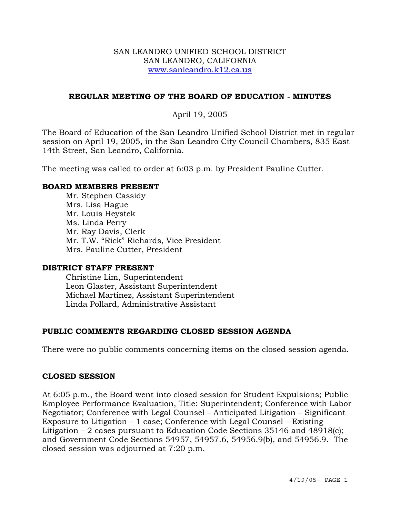#### SAN LEANDRO UNIFIED SCHOOL DISTRICT SAN LEANDRO, CALIFORNIA www.sanleandro.k12.ca.us

### **REGULAR MEETING OF THE BOARD OF EDUCATION - MINUTES**

# April 19, 2005

The Board of Education of the San Leandro Unified School District met in regular session on April 19, 2005, in the San Leandro City Council Chambers, 835 East 14th Street, San Leandro, California.

The meeting was called to order at 6:03 p.m. by President Pauline Cutter.

#### **BOARD MEMBERS PRESENT**

Mr. Stephen Cassidy Mrs. Lisa Hague Mr. Louis Heystek Ms. Linda Perry Mr. Ray Davis, Clerk Mr. T.W. "Rick" Richards, Vice President Mrs. Pauline Cutter, President

#### **DISTRICT STAFF PRESENT**

Christine Lim, Superintendent Leon Glaster, Assistant Superintendent Michael Martinez, Assistant Superintendent Linda Pollard, Administrative Assistant

# **PUBLIC COMMENTS REGARDING CLOSED SESSION AGENDA**

There were no public comments concerning items on the closed session agenda.

#### **CLOSED SESSION**

At 6:05 p.m., the Board went into closed session for Student Expulsions; Public Employee Performance Evaluation, Title: Superintendent; Conference with Labor Negotiator; Conference with Legal Counsel – Anticipated Litigation – Significant Exposure to Litigation – 1 case; Conference with Legal Counsel – Existing Litigation  $-2$  cases pursuant to Education Code Sections 35146 and 48918(c); and Government Code Sections 54957, 54957.6, 54956.9(b), and 54956.9. The closed session was adjourned at 7:20 p.m.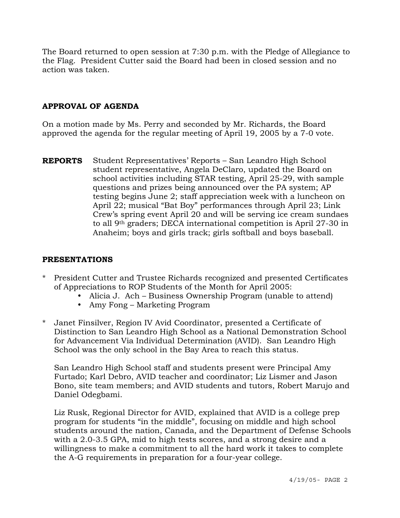The Board returned to open session at 7:30 p.m. with the Pledge of Allegiance to the Flag. President Cutter said the Board had been in closed session and no action was taken.

# **APPROVAL OF AGENDA**

On a motion made by Ms. Perry and seconded by Mr. Richards, the Board approved the agenda for the regular meeting of April 19, 2005 by a 7-0 vote.

**REPORTS** Student Representatives' Reports – San Leandro High School student representative, Angela DeClaro, updated the Board on school activities including STAR testing, April 25-29, with sample questions and prizes being announced over the PA system; AP testing begins June 2; staff appreciation week with a luncheon on April 22; musical "Bat Boy" performances through April 23; Link Crew's spring event April 20 and will be serving ice cream sundaes to all 9th graders; DECA international competition is April 27-30 in Anaheim; boys and girls track; girls softball and boys baseball.

# **PRESENTATIONS**

- \* President Cutter and Trustee Richards recognized and presented Certificates of Appreciations to ROP Students of the Month for April 2005:
	- Alicia J. Ach Business Ownership Program (unable to attend)
	- Amy Fong Marketing Program
- \* Janet Finsilver, Region IV Avid Coordinator, presented a Certificate of Distinction to San Leandro High School as a National Demonstration School for Advancement Via Individual Determination (AVID). San Leandro High School was the only school in the Bay Area to reach this status.

 San Leandro High School staff and students present were Principal Amy Furtado; Karl Debro, AVID teacher and coordinator; Liz Lismer and Jason Bono, site team members; and AVID students and tutors, Robert Marujo and Daniel Odegbami.

Liz Rusk, Regional Director for AVID, explained that AVID is a college prep program for students "in the middle", focusing on middle and high school students around the nation, Canada, and the Department of Defense Schools with a 2.0-3.5 GPA, mid to high tests scores, and a strong desire and a willingness to make a commitment to all the hard work it takes to complete the A-G requirements in preparation for a four-year college.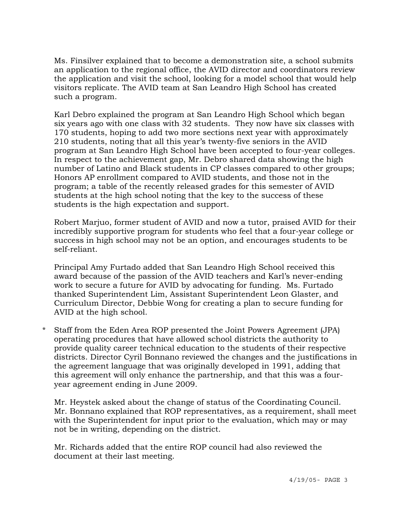Ms. Finsilver explained that to become a demonstration site, a school submits an application to the regional office, the AVID director and coordinators review the application and visit the school, looking for a model school that would help visitors replicate. The AVID team at San Leandro High School has created such a program.

Karl Debro explained the program at San Leandro High School which began six years ago with one class with 32 students. They now have six classes with 170 students, hoping to add two more sections next year with approximately 210 students, noting that all this year's twenty-five seniors in the AVID program at San Leandro High School have been accepted to four-year colleges. In respect to the achievement gap, Mr. Debro shared data showing the high number of Latino and Black students in CP classes compared to other groups; Honors AP enrollment compared to AVID students, and those not in the program; a table of the recently released grades for this semester of AVID students at the high school noting that the key to the success of these students is the high expectation and support.

Robert Marjuo, former student of AVID and now a tutor, praised AVID for their incredibly supportive program for students who feel that a four-year college or success in high school may not be an option, and encourages students to be self-reliant.

Principal Amy Furtado added that San Leandro High School received this award because of the passion of the AVID teachers and Karl's never-ending work to secure a future for AVID by advocating for funding. Ms. Furtado thanked Superintendent Lim, Assistant Superintendent Leon Glaster, and Curriculum Director, Debbie Wong for creating a plan to secure funding for AVID at the high school.

\* Staff from the Eden Area ROP presented the Joint Powers Agreement (JPA) operating procedures that have allowed school districts the authority to provide quality career technical education to the students of their respective districts. Director Cyril Bonnano reviewed the changes and the justifications in the agreement language that was originally developed in 1991, adding that this agreement will only enhance the partnership, and that this was a fouryear agreement ending in June 2009.

Mr. Heystek asked about the change of status of the Coordinating Council. Mr. Bonnano explained that ROP representatives, as a requirement, shall meet with the Superintendent for input prior to the evaluation, which may or may not be in writing, depending on the district.

Mr. Richards added that the entire ROP council had also reviewed the document at their last meeting.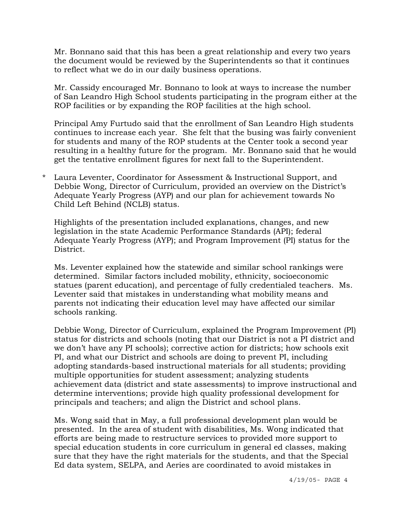Mr. Bonnano said that this has been a great relationship and every two years the document would be reviewed by the Superintendents so that it continues to reflect what we do in our daily business operations.

Mr. Cassidy encouraged Mr. Bonnano to look at ways to increase the number of San Leandro High School students participating in the program either at the ROP facilities or by expanding the ROP facilities at the high school.

Principal Amy Furtudo said that the enrollment of San Leandro High students continues to increase each year. She felt that the busing was fairly convenient for students and many of the ROP students at the Center took a second year resulting in a healthy future for the program. Mr. Bonnano said that he would get the tentative enrollment figures for next fall to the Superintendent.

\* Laura Leventer, Coordinator for Assessment & Instructional Support, and Debbie Wong, Director of Curriculum, provided an overview on the District's Adequate Yearly Progress (AYP) and our plan for achievement towards No Child Left Behind (NCLB) status.

Highlights of the presentation included explanations, changes, and new legislation in the state Academic Performance Standards (API); federal Adequate Yearly Progress (AYP); and Program Improvement (PI) status for the District.

Ms. Leventer explained how the statewide and similar school rankings were determined. Similar factors included mobility, ethnicity, socioeconomic statues (parent education), and percentage of fully credentialed teachers. Ms. Leventer said that mistakes in understanding what mobility means and parents not indicating their education level may have affected our similar schools ranking.

Debbie Wong, Director of Curriculum, explained the Program Improvement (PI) status for districts and schools (noting that our District is not a PI district and we don't have any PI schools); corrective action for districts; how schools exit PI, and what our District and schools are doing to prevent PI, including adopting standards-based instructional materials for all students; providing multiple opportunities for student assessment; analyzing students achievement data (district and state assessments) to improve instructional and determine interventions; provide high quality professional development for principals and teachers; and align the District and school plans.

Ms. Wong said that in May, a full professional development plan would be presented. In the area of student with disabilities, Ms. Wong indicated that efforts are being made to restructure services to provided more support to special education students in core curriculum in general ed classes, making sure that they have the right materials for the students, and that the Special Ed data system, SELPA, and Aeries are coordinated to avoid mistakes in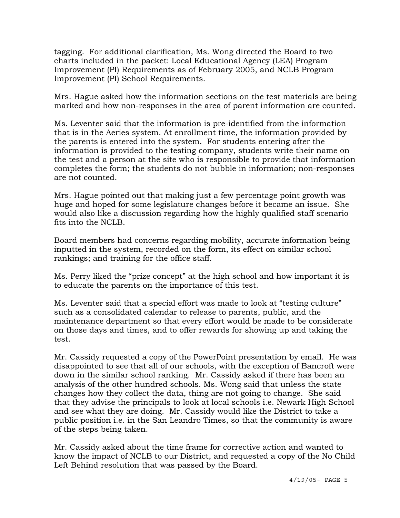tagging. For additional clarification, Ms. Wong directed the Board to two charts included in the packet: Local Educational Agency (LEA) Program Improvement (PI) Requirements as of February 2005, and NCLB Program Improvement (PI) School Requirements.

Mrs. Hague asked how the information sections on the test materials are being marked and how non-responses in the area of parent information are counted.

Ms. Leventer said that the information is pre-identified from the information that is in the Aeries system. At enrollment time, the information provided by the parents is entered into the system. For students entering after the information is provided to the testing company, students write their name on the test and a person at the site who is responsible to provide that information completes the form; the students do not bubble in information; non-responses are not counted.

Mrs. Hague pointed out that making just a few percentage point growth was huge and hoped for some legislature changes before it became an issue. She would also like a discussion regarding how the highly qualified staff scenario fits into the NCLB.

Board members had concerns regarding mobility, accurate information being inputted in the system, recorded on the form, its effect on similar school rankings; and training for the office staff.

Ms. Perry liked the "prize concept" at the high school and how important it is to educate the parents on the importance of this test.

Ms. Leventer said that a special effort was made to look at "testing culture" such as a consolidated calendar to release to parents, public, and the maintenance department so that every effort would be made to be considerate on those days and times, and to offer rewards for showing up and taking the test.

Mr. Cassidy requested a copy of the PowerPoint presentation by email. He was disappointed to see that all of our schools, with the exception of Bancroft were down in the similar school ranking. Mr. Cassidy asked if there has been an analysis of the other hundred schools. Ms. Wong said that unless the state changes how they collect the data, thing are not going to change. She said that they advise the principals to look at local schools i.e. Newark High School and see what they are doing. Mr. Cassidy would like the District to take a public position i.e. in the San Leandro Times, so that the community is aware of the steps being taken.

Mr. Cassidy asked about the time frame for corrective action and wanted to know the impact of NCLB to our District, and requested a copy of the No Child Left Behind resolution that was passed by the Board.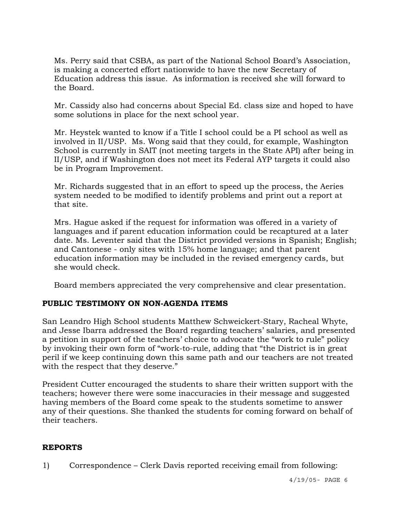Ms. Perry said that CSBA, as part of the National School Board's Association, is making a concerted effort nationwide to have the new Secretary of Education address this issue. As information is received she will forward to the Board.

Mr. Cassidy also had concerns about Special Ed. class size and hoped to have some solutions in place for the next school year.

Mr. Heystek wanted to know if a Title I school could be a PI school as well as involved in II/USP. Ms. Wong said that they could, for example, Washington School is currently in SAIT (not meeting targets in the State API) after being in II/USP, and if Washington does not meet its Federal AYP targets it could also be in Program Improvement.

Mr. Richards suggested that in an effort to speed up the process, the Aeries system needed to be modified to identify problems and print out a report at that site.

Mrs. Hague asked if the request for information was offered in a variety of languages and if parent education information could be recaptured at a later date. Ms. Leventer said that the District provided versions in Spanish; English; and Cantonese - only sites with 15% home language; and that parent education information may be included in the revised emergency cards, but she would check.

Board members appreciated the very comprehensive and clear presentation.

# **PUBLIC TESTIMONY ON NON-AGENDA ITEMS**

San Leandro High School students Matthew Schweickert-Stary, Racheal Whyte, and Jesse Ibarra addressed the Board regarding teachers' salaries, and presented a petition in support of the teachers' choice to advocate the "work to rule" policy by invoking their own form of "work-to-rule, adding that "the District is in great peril if we keep continuing down this same path and our teachers are not treated with the respect that they deserve."

President Cutter encouraged the students to share their written support with the teachers; however there were some inaccuracies in their message and suggested having members of the Board come speak to the students sometime to answer any of their questions. She thanked the students for coming forward on behalf of their teachers.

# **REPORTS**

1) Correspondence – Clerk Davis reported receiving email from following: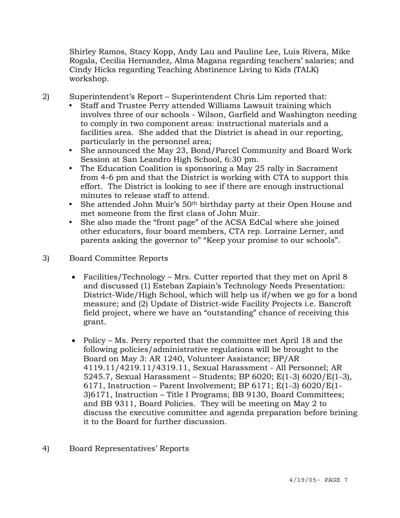Shirley Ramos, Stacy Kopp, Andy Lau and Pauline Lee, Luis Rivera, Mike Rogala, Cecilia Hernandez, Alma Magana regarding teachers' salaries; and Cindy Hicks regarding Teaching Abstinence Living to Kids (TALK) workshop.

2) Superintendent's Report – Superintendent Chris Lim reported that:

- Staff and Trustee Perry attended Williams Lawsuit training which involves three of our schools - Wilson, Garfield and Washington needing to comply in two component areas: instructional materials and a facilities area. She added that the District is ahead in our reporting, particularly in the personnel area;
- She announced the May 23, Bond/Parcel Community and Board Work Session at San Leandro High School, 6:30 pm.
- The Education Coalition is sponsoring a May 25 rally in Sacrament from 4-6 pm and that the District is working with CTA to support this effort. The District is looking to see if there are enough instructional minutes to release staff to attend.
- She attended John Muir's 50<sup>th</sup> birthday party at their Open House and met someone from the first class of John Muir.
- She also made the "front page" of the ACSA EdCal where she joined other educators, four board members, CTA rep. Lorraine Lerner, and parents asking the governor to" "Keep your promise to our schools".
- 3) Board Committee Reports
	- Facilities/Technology Mrs. Cutter reported that they met on April 8 and discussed (1) Esteban Zapiain's Technology Needs Presentation: District-Wide/High School, which will help us if/when we go for a bond measure; and (2) Update of District-wide Facility Projects i.e. Bancroft field project, where we have an "outstanding" chance of receiving this grant.
	- Policy Ms. Perry reported that the committee met April 18 and the following policies/administrative regulations will be brought to the Board on May 3: AR 1240, Volunteer Assistance; BP/AR 4119.11/4219.11/4319.11, Sexual Harassment - All Personnel; AR 5245.7, Sexual Harassment – Students; BP 6020; E(1-3) 6020/E(1-3), 6171, Instruction – Parent Involvement; BP 6171; E(1-3) 6020/E(1- 3)6171, Instruction – Title I Programs; BB 9130, Board Committees; and BB 9311, Board Policies. They will be meeting on May 2 to discuss the executive committee and agenda preparation before brining it to the Board for further discussion.
- 4) Board Representatives' Reports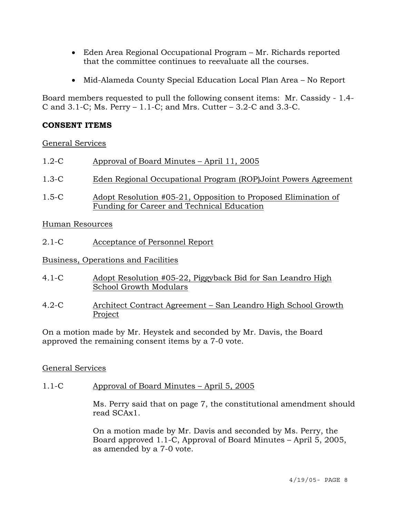- Eden Area Regional Occupational Program Mr. Richards reported that the committee continues to reevaluate all the courses.
- Mid-Alameda County Special Education Local Plan Area No Report

Board members requested to pull the following consent items: Mr. Cassidy - 1.4- C and 3.1-C; Ms. Perry – 1.1-C; and Mrs. Cutter – 3.2-C and 3.3-C.

# **CONSENT ITEMS**

General Services

- 1.2-C Approval of Board Minutes April 11, 2005
- 1.3-C Eden Regional Occupational Program (ROP)Joint Powers Agreement
- 1.5-C Adopt Resolution #05-21, Opposition to Proposed Elimination of Funding for Career and Technical Education

Human Resources

2.1-C Acceptance of Personnel Report

Business, Operations and Facilities

- 4.1-C Adopt Resolution #05-22, Piggyback Bid for San Leandro High School Growth Modulars
- 4.2-C Architect Contract Agreement San Leandro High School Growth Project

On a motion made by Mr. Heystek and seconded by Mr. Davis, the Board approved the remaining consent items by a 7-0 vote.

# General Services

1.1-C Approval of Board Minutes – April 5, 2005

Ms. Perry said that on page 7, the constitutional amendment should read SCAx1.

On a motion made by Mr. Davis and seconded by Ms. Perry, the Board approved 1.1-C, Approval of Board Minutes – April 5, 2005, as amended by a 7-0 vote.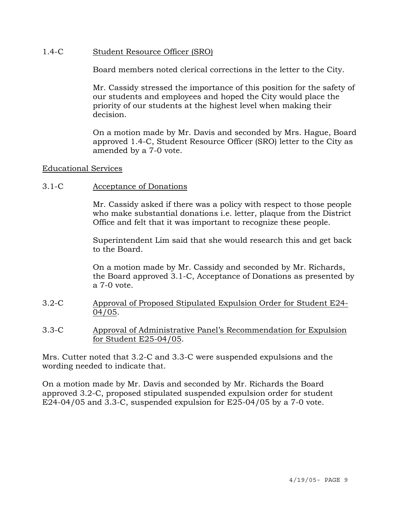#### 1.4-C Student Resource Officer (SRO)

Board members noted clerical corrections in the letter to the City.

Mr. Cassidy stressed the importance of this position for the safety of our students and employees and hoped the City would place the priority of our students at the highest level when making their decision.

On a motion made by Mr. Davis and seconded by Mrs. Hague, Board approved 1.4-C, Student Resource Officer (SRO) letter to the City as amended by a 7-0 vote.

#### Educational Services

#### 3.1-C Acceptance of Donations

Mr. Cassidy asked if there was a policy with respect to those people who make substantial donations i.e. letter, plaque from the District Office and felt that it was important to recognize these people.

Superintendent Lim said that she would research this and get back to the Board.

On a motion made by Mr. Cassidy and seconded by Mr. Richards, the Board approved 3.1-C, Acceptance of Donations as presented by a 7-0 vote.

- 3.2-C Approval of Proposed Stipulated Expulsion Order for Student E24- 04/05.
- 3.3-C Approval of Administrative Panel's Recommendation for Expulsion for Student E25-04/05.

Mrs. Cutter noted that 3.2-C and 3.3-C were suspended expulsions and the wording needed to indicate that.

On a motion made by Mr. Davis and seconded by Mr. Richards the Board approved 3.2-C, proposed stipulated suspended expulsion order for student E24-04/05 and 3.3-C, suspended expulsion for E25-04/05 by a  $7$ -0 vote.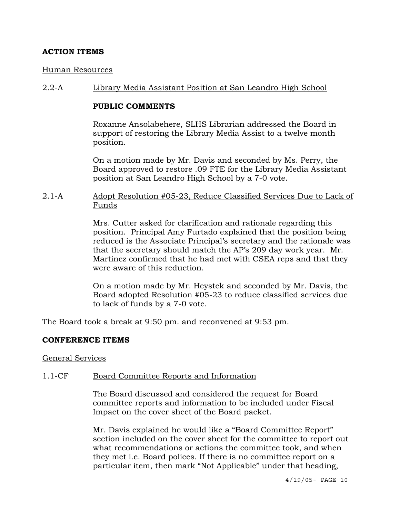# **ACTION ITEMS**

#### Human Resources

#### 2.2-A Library Media Assistant Position at San Leandro High School

#### **PUBLIC COMMENTS**

Roxanne Ansolabehere, SLHS Librarian addressed the Board in support of restoring the Library Media Assist to a twelve month position.

On a motion made by Mr. Davis and seconded by Ms. Perry, the Board approved to restore .09 FTE for the Library Media Assistant position at San Leandro High School by a 7-0 vote.

### 2.1-A Adopt Resolution #05-23, Reduce Classified Services Due to Lack of Funds

Mrs. Cutter asked for clarification and rationale regarding this position. Principal Amy Furtado explained that the position being reduced is the Associate Principal's secretary and the rationale was that the secretary should match the AP's 209 day work year. Mr. Martinez confirmed that he had met with CSEA reps and that they were aware of this reduction.

On a motion made by Mr. Heystek and seconded by Mr. Davis, the Board adopted Resolution #05-23 to reduce classified services due to lack of funds by a 7-0 vote.

The Board took a break at 9:50 pm. and reconvened at 9:53 pm.

#### **CONFERENCE ITEMS**

#### General Services

#### 1.1-CF Board Committee Reports and Information

The Board discussed and considered the request for Board committee reports and information to be included under Fiscal Impact on the cover sheet of the Board packet.

Mr. Davis explained he would like a "Board Committee Report" section included on the cover sheet for the committee to report out what recommendations or actions the committee took, and when they met i.e. Board polices. If there is no committee report on a particular item, then mark "Not Applicable" under that heading,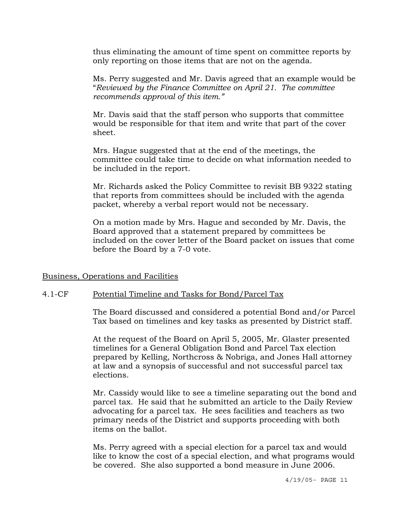thus eliminating the amount of time spent on committee reports by only reporting on those items that are not on the agenda.

Ms. Perry suggested and Mr. Davis agreed that an example would be "*Reviewed by the Finance Committee on April 21. The committee recommends approval of this item."*

Mr. Davis said that the staff person who supports that committee would be responsible for that item and write that part of the cover sheet.

Mrs. Hague suggested that at the end of the meetings, the committee could take time to decide on what information needed to be included in the report.

Mr. Richards asked the Policy Committee to revisit BB 9322 stating that reports from committees should be included with the agenda packet, whereby a verbal report would not be necessary.

On a motion made by Mrs. Hague and seconded by Mr. Davis, the Board approved that a statement prepared by committees be included on the cover letter of the Board packet on issues that come before the Board by a 7-0 vote.

#### Business, Operations and Facilities

#### 4.1-CF Potential Timeline and Tasks for Bond/Parcel Tax

The Board discussed and considered a potential Bond and/or Parcel Tax based on timelines and key tasks as presented by District staff.

At the request of the Board on April 5, 2005, Mr. Glaster presented timelines for a General Obligation Bond and Parcel Tax election prepared by Kelling, Northcross & Nobriga, and Jones Hall attorney at law and a synopsis of successful and not successful parcel tax elections.

Mr. Cassidy would like to see a timeline separating out the bond and parcel tax. He said that he submitted an article to the Daily Review advocating for a parcel tax. He sees facilities and teachers as two primary needs of the District and supports proceeding with both items on the ballot.

Ms. Perry agreed with a special election for a parcel tax and would like to know the cost of a special election, and what programs would be covered. She also supported a bond measure in June 2006.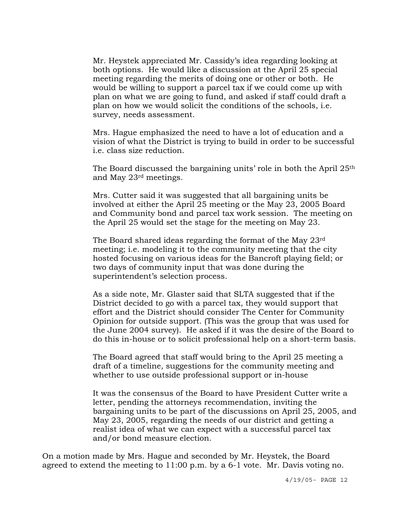Mr. Heystek appreciated Mr. Cassidy's idea regarding looking at both options. He would like a discussion at the April 25 special meeting regarding the merits of doing one or other or both. He would be willing to support a parcel tax if we could come up with plan on what we are going to fund, and asked if staff could draft a plan on how we would solicit the conditions of the schools, i.e. survey, needs assessment.

Mrs. Hague emphasized the need to have a lot of education and a vision of what the District is trying to build in order to be successful i.e. class size reduction.

The Board discussed the bargaining units' role in both the April 25th and May 23rd meetings.

Mrs. Cutter said it was suggested that all bargaining units be involved at either the April 25 meeting or the May 23, 2005 Board and Community bond and parcel tax work session. The meeting on the April 25 would set the stage for the meeting on May 23.

The Board shared ideas regarding the format of the May 23rd meeting; i.e. modeling it to the community meeting that the city hosted focusing on various ideas for the Bancroft playing field; or two days of community input that was done during the superintendent's selection process.

As a side note, Mr. Glaster said that SLTA suggested that if the District decided to go with a parcel tax, they would support that effort and the District should consider The Center for Community Opinion for outside support. (This was the group that was used for the June 2004 survey). He asked if it was the desire of the Board to do this in-house or to solicit professional help on a short-term basis.

The Board agreed that staff would bring to the April 25 meeting a draft of a timeline, suggestions for the community meeting and whether to use outside professional support or in-house

It was the consensus of the Board to have President Cutter write a letter, pending the attorneys recommendation, inviting the bargaining units to be part of the discussions on April 25, 2005, and May 23, 2005, regarding the needs of our district and getting a realist idea of what we can expect with a successful parcel tax and/or bond measure election.

On a motion made by Mrs. Hague and seconded by Mr. Heystek, the Board agreed to extend the meeting to 11:00 p.m. by a 6-1 vote. Mr. Davis voting no.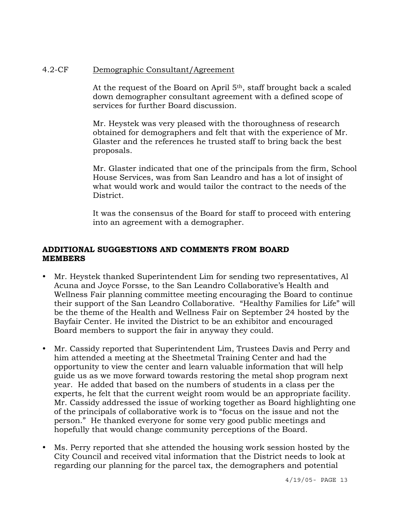# 4.2-CF Demographic Consultant/Agreement

At the request of the Board on April 5th, staff brought back a scaled down demographer consultant agreement with a defined scope of services for further Board discussion.

Mr. Heystek was very pleased with the thoroughness of research obtained for demographers and felt that with the experience of Mr. Glaster and the references he trusted staff to bring back the best proposals.

Mr. Glaster indicated that one of the principals from the firm, School House Services, was from San Leandro and has a lot of insight of what would work and would tailor the contract to the needs of the District.

It was the consensus of the Board for staff to proceed with entering into an agreement with a demographer.

# **ADDITIONAL SUGGESTIONS AND COMMENTS FROM BOARD MEMBERS**

- Mr. Heystek thanked Superintendent Lim for sending two representatives, Al Acuna and Joyce Forsse, to the San Leandro Collaborative's Health and Wellness Fair planning committee meeting encouraging the Board to continue their support of the San Leandro Collaborative. "Healthy Families for Life" will be the theme of the Health and Wellness Fair on September 24 hosted by the Bayfair Center. He invited the District to be an exhibitor and encouraged Board members to support the fair in anyway they could.
- Mr. Cassidy reported that Superintendent Lim, Trustees Davis and Perry and him attended a meeting at the Sheetmetal Training Center and had the opportunity to view the center and learn valuable information that will help guide us as we move forward towards restoring the metal shop program next year. He added that based on the numbers of students in a class per the experts, he felt that the current weight room would be an appropriate facility. Mr. Cassidy addressed the issue of working together as Board highlighting one of the principals of collaborative work is to "focus on the issue and not the person." He thanked everyone for some very good public meetings and hopefully that would change community perceptions of the Board.
- Ms. Perry reported that she attended the housing work session hosted by the City Council and received vital information that the District needs to look at regarding our planning for the parcel tax, the demographers and potential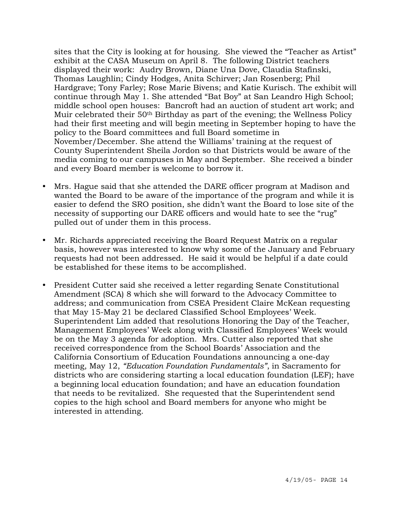sites that the City is looking at for housing. She viewed the "Teacher as Artist" exhibit at the CASA Museum on April 8. The following District teachers displayed their work: Audry Brown, Diane Una Dove, Claudia Stafinski, Thomas Laughlin; Cindy Hodges, Anita Schirver; Jan Rosenberg; Phil Hardgrave; Tony Farley; Rose Marie Bivens; and Katie Kurisch. The exhibit will continue through May 1. She attended "Bat Boy" at San Leandro High School; middle school open houses: Bancroft had an auction of student art work; and Muir celebrated their 50<sup>th</sup> Birthday as part of the evening; the Wellness Policy had their first meeting and will begin meeting in September hoping to have the policy to the Board committees and full Board sometime in November/December. She attend the Williams' training at the request of County Superintendent Sheila Jordon so that Districts would be aware of the media coming to our campuses in May and September. She received a binder and every Board member is welcome to borrow it.

- Mrs. Hague said that she attended the DARE officer program at Madison and wanted the Board to be aware of the importance of the program and while it is easier to defend the SRO position, she didn't want the Board to lose site of the necessity of supporting our DARE officers and would hate to see the "rug" pulled out of under them in this process.
- Mr. Richards appreciated receiving the Board Request Matrix on a regular basis, however was interested to know why some of the January and February requests had not been addressed. He said it would be helpful if a date could be established for these items to be accomplished.
- President Cutter said she received a letter regarding Senate Constitutional Amendment (SCA) 8 which she will forward to the Advocacy Committee to address; and communication from CSEA President Claire McKean requesting that May 15-May 21 be declared Classified School Employees' Week. Superintendent Lim added that resolutions Honoring the Day of the Teacher, Management Employees' Week along with Classified Employees' Week would be on the May 3 agenda for adoption. Mrs. Cutter also reported that she received correspondence from the School Boards' Association and the California Consortium of Education Foundations announcing a one-day meeting, May 12, *"Education Foundation Fundamentals"*, in Sacramento for districts who are considering starting a local education foundation (LEF); have a beginning local education foundation; and have an education foundation that needs to be revitalized. She requested that the Superintendent send copies to the high school and Board members for anyone who might be interested in attending.